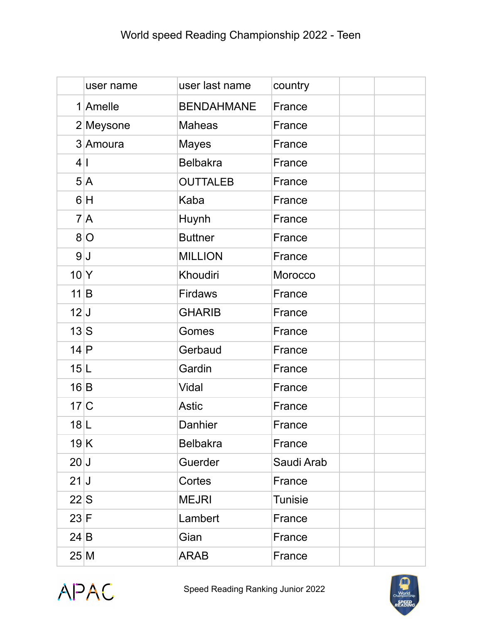|        | user name | user last name    | country        |  |
|--------|-----------|-------------------|----------------|--|
|        | 1 Amelle  | <b>BENDAHMANE</b> | France         |  |
|        | 2 Meysone | <b>Maheas</b>     | France         |  |
|        | 3 Amoura  | <b>Mayes</b>      | France         |  |
| 4 1    |           | <b>Belbakra</b>   | France         |  |
|        | 5 A       | <b>OUTTALEB</b>   | France         |  |
|        | 6 H       | Kaba              | France         |  |
|        | 7 A       | Huynh             | France         |  |
|        | 8 O       | <b>Buttner</b>    | France         |  |
|        | 9J        | <b>MILLION</b>    | France         |  |
| 10 Y   |           | Khoudiri          | Morocco        |  |
| 11 B   |           | <b>Firdaws</b>    | France         |  |
| 12J    |           | <b>GHARIB</b>     | France         |  |
| 13S    |           | Gomes             | France         |  |
| 14 P   |           | Gerbaud           | France         |  |
| 15 L   |           | Gardin            | France         |  |
| 16 B   |           | Vidal             | France         |  |
| 17C    |           | Astic             | France         |  |
| 18 L   |           | Danhier           | France         |  |
| 19K    |           | <b>Belbakra</b>   | France         |  |
| 20J    |           | Guerder           | Saudi Arab     |  |
| $21$ J |           | Cortes            | France         |  |
| 22S    |           | <b>MEJRI</b>      | <b>Tunisie</b> |  |
| $23$ F |           | Lambert           | France         |  |
| 24 B   |           | Gian              | France         |  |
| 25 M   |           | <b>ARAB</b>       | France         |  |



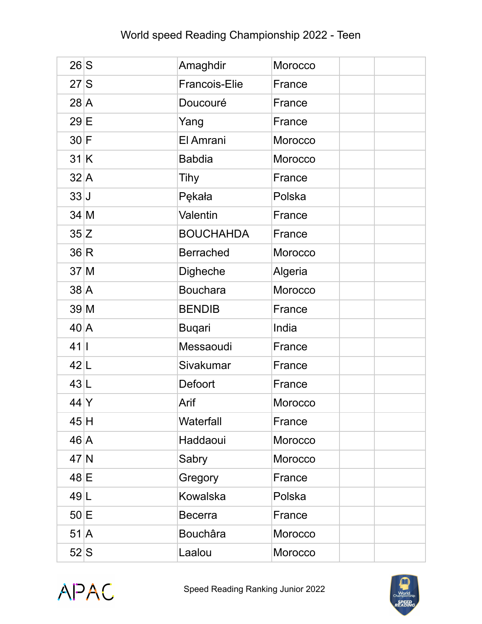| 26 S             | Amaghdir             | Morocco |  |
|------------------|----------------------|---------|--|
| 27S              | <b>Francois-Elie</b> | France  |  |
| $28$ A           | Doucouré             | France  |  |
| 29 E             | Yang                 | France  |  |
| 30 F             | El Amrani            | Morocco |  |
| 31K              | <b>Babdia</b>        | Morocco |  |
| $32 \, \text{A}$ | Tihy                 | France  |  |
| 33J              | Pękała               | Polska  |  |
| $34$ M           | Valentin             | France  |  |
| 35 Z             | <b>BOUCHAHDA</b>     | France  |  |
| 36 R             | <b>Berrached</b>     | Morocco |  |
| 37 M             | Digheche             | Algeria |  |
| $38$ A           | <b>Bouchara</b>      | Morocco |  |
| 39 M             | <b>BENDIB</b>        | France  |  |
| $40 \vert A$     | <b>Buqari</b>        | India   |  |
| $41$             | Messaoudi            | France  |  |
| 42 L             | Sivakumar            | France  |  |
| 43 L             | <b>Defoort</b>       | France  |  |
| 44 Y             | Arif                 | Morocco |  |
| 45 H             | Waterfall            | France  |  |
| $46 \, \text{A}$ | Haddaoui             | Morocco |  |
| 47N              | Sabry                | Morocco |  |
| 48 E             | Gregory              | France  |  |
| 49 L             | Kowalska             | Polska  |  |
| $50 \mid E$      | <b>Becerra</b>       | France  |  |
| $51 \, \text{A}$ | <b>Bouchâra</b>      | Morocco |  |
| 52 S             | Laalou               | Morocco |  |



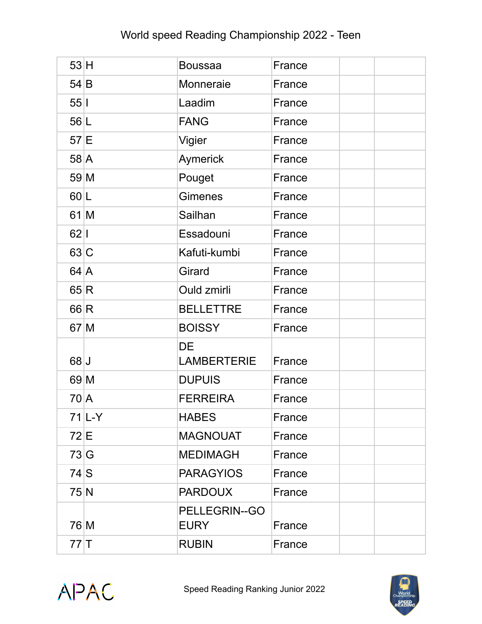| 53H              |           | <b>Boussaa</b>               | France |  |
|------------------|-----------|------------------------------|--------|--|
| 54 B             |           | Monneraie                    | France |  |
| $55$             |           | Laadim                       | France |  |
| 56 L             |           | <b>FANG</b>                  | France |  |
| $57 \mathsf{E}$  |           | Vigier                       | France |  |
| $58$ A           |           | Aymerick                     | France |  |
| 59 M             |           | Pouget                       | France |  |
| 60 L             |           | <b>Gimenes</b>               | France |  |
| $61$ M           |           | Sailhan                      | France |  |
| $62$             |           | Essadouni                    | France |  |
| 63C              |           | Kafuti-kumbi                 | France |  |
| $64 \, \text{A}$ |           | Girard                       | France |  |
| 65R              |           | Ould zmirli                  | France |  |
| 66 R             |           | <b>BELLETTRE</b>             | France |  |
| $67$ M           |           | <b>BOISSY</b>                | France |  |
| 68               |           | DE<br><b>LAMBERTERIE</b>     | France |  |
| 69 M             |           | <b>DUPUIS</b>                | France |  |
| 70 A             |           | <b>FERREIRA</b>              | France |  |
|                  | $71$  L-Y | <b>HABES</b>                 | France |  |
| $72 \mathsf{E}$  |           | <b>MAGNOUAT</b>              | France |  |
| 73 G             |           | <b>MEDIMAGH</b>              | France |  |
| 74 S             |           | <b>PARAGYIOS</b>             | France |  |
| 75 N             |           | <b>PARDOUX</b>               | France |  |
| 76 M             |           | PELLEGRIN--GO<br><b>EURY</b> | France |  |
| 77               |           | <b>RUBIN</b>                 | France |  |